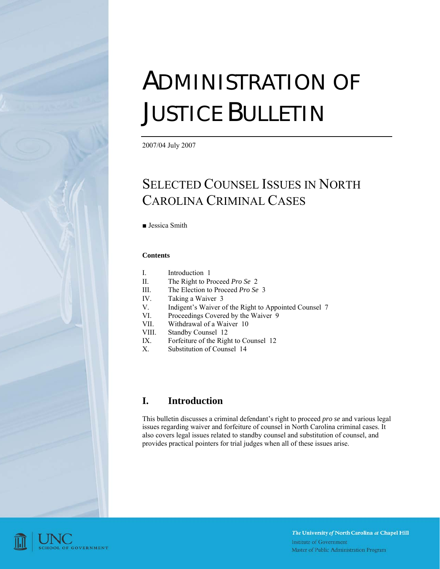# ADMINISTRATION OF JUSTICE BULLETIN

2007/04 July 2007

# SELECTED COUNSEL ISSUES IN NORTH CAROLINA CRIMINAL CASES

■ Jessica Smith

#### **Contents**

| Introduction |  |
|--------------|--|
|--------------|--|

- II. The Right to Proceed *Pro Se* [2](#page-1-0)
- III. The Election to Proceed *Pro Se* [3](#page-2-0)
- IV. Taking a Waiver [3](#page-2-1)
- V. Indigent's Waiver of the Right to Appointed Counsel [7](#page-6-0)
- VI. Proceedings Covered by the Waiver [9](#page-8-0)
- VII. Withdrawal of a Waiver [10](#page-9-0)
- VIII. Standby Counsel [12](#page-11-0)
- IX. Forfeiture of the Right to Counsel [12](#page-11-1)
- X. Substitution of Counsel [14](#page-13-0)

#### **I. Introduction**

This bulletin discusses a criminal defendant's right to proceed *pro se* and various legal issues regarding waiver and forfeiture of counsel in North Carolina criminal cases. It also covers legal issues related to standby counsel and substitution of counsel, and provides practical pointers for trial judges when all of these issues arise.

<span id="page-0-0"></span>

The University of North Carolina at Chapel Hill **Institute of Government** Master of Public Administration Program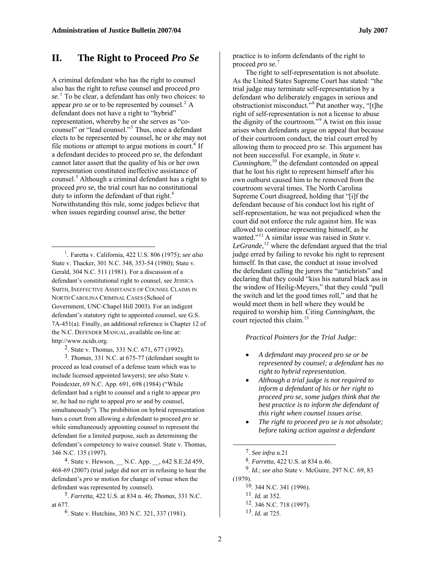#### <span id="page-1-0"></span>**II. The Right to Proceed** *Pro Se*

A criminal defendant who has the right to counsel also has the right to refuse counsel and proceed *pro se*. [1](#page-1-1) To be clear, a defendant has only two choices: to appear *pro se* or to be represented by counsel. $^2$  $^2$  A defendant does not have a right to "hybrid" representation, whereby he or she serves as "co-counsel" or "lead counsel."<sup>[3](#page-1-3)</sup> Thus, once a defendant elects to be represented by counsel, he or she may not file motions or attempt to argue motions in court.<sup>[4](#page-1-4)</sup> If a defendant decides to proceed *pro se*, the defendant cannot later assert that the quality of his or her own representation constituted ineffective assistance of counsel.[5](#page-1-5) Although a criminal defendant has a right to proceed *pro se*, the trial court has no constitutional duty to inform the defendant of that right.<sup>[6](#page-1-6)</sup> Notwithstanding this rule, some judges believe that when issues regarding counsel arise, the better

<span id="page-1-1"></span>1 . Faretta v. California, 422 U.S. 806 (1975); *see also*  State v. Thacker, 301 N.C. 348, 353-54 (1980); State v. Gerald, 304 N.C. 511 (1981). For a discussion of a defendant's constitutional right to counsel, see JESSICA SMITH, INEFFECTIVE ASSISTANCE OF COUNSEL CLAIMS IN NORTH CAROLINA CRIMINAL CASES (School of Government, UNC-Chapel Hill 2003). For an indigent defendant's statutory right to appointed counsel, see G.S. 7A-451(a). Finally, an additional reference is Chapter 12 of the N.C. DEFENDER MANUAL, available on-line at: http://www.ncids.org.

 $\overline{a}$ 

2. State v. Thomas, 331 N.C. 671, 677 (1992).

<span id="page-1-3"></span><span id="page-1-2"></span>3. *Thomas*, 331 N.C. at 675-77 (defendant sought to proceed as lead counsel of a defense team which was to include licensed appointed lawyers); *see also* State v. Poindexter, 69 N.C. App. 691, 698 (1984) ("While defendant had a right to counsel and a right to appear *pro se*, he had no right to appeal *pro se* and by counsel, simultaneously"). The prohibition on hybrid representation bars a court from allowing a defendant to proceed *pro se* while simultaneously appointing counsel to represent the defendant for a limited purpose, such as determining the defendant's competency to waive counsel. State v. Thomas, 346 N.C. 135 (1997).

<span id="page-1-8"></span><span id="page-1-7"></span><span id="page-1-4"></span><sup>4</sup>. State v. Hewson,  $\quad$  N.C. App.  $\quad$  , 642 S.E.2d 459, 468-69 (2007) (trial judge did not err in refusing to hear the defendant's *pro se* motion for change of venue when the defendant was represented by counsel).

<span id="page-1-10"></span><span id="page-1-9"></span><span id="page-1-6"></span><span id="page-1-5"></span>5. *Farretta,* 422 U.S. at 834 n. 46; *Thomas*, 331 N.C. at 677.

6. State v. Hutchins, 303 N.C. 321, 337 (1981).

practice is to inform defendants of the right to proceed *pro se*. [7](#page-1-7)

The right to self-representation is not absolute. As the United States Supreme Court has stated: "the trial judge may terminate self-representation by a defendant who deliberately engages in serious and obstructionist misconduct."[8](#page-1-4) Put another way, "[t]he right of self-representation is not a license to abuse the dignity of the courtroom."[9](#page-1-8) A twist on this issue arises when defendants argue on appeal that because of their courtroom conduct, the trial court erred by allowing them to proceed *pro se*. This argument has not been successful. For example, in *State v. Cunningham*, [10](#page-1-9) the defendant contended on appeal that he lost his right to represent himself after his own outburst caused him to be removed from the courtroom several times. The North Carolina Supreme Court disagreed, holding that "[i]f the defendant because of his conduct lost his right of self-representation, he was not prejudiced when the court did not enforce the rule against him. He was allowed to continue representing himself, as he wanted."<sup>[11](#page-1-5)</sup> A similar issue was raised in *State v*. LeGrande,<sup>[12](#page-1-10)</sup> where the defendant argued that the trial judge erred by failing to revoke his right to represent himself. In that case, the conduct at issue involved the defendant calling the jurors the "antichrists" and declaring that they could "kiss his natural black ass in the window of Heilig-Meyers," that they could "pull the switch and let the good times roll," and that he would meet them in hell where they would be required to worship him. Citing *Cunningham*, the court rejected this claim.<sup>[13](#page-1-6)</sup>

*Practical Pointers for the Trial Judge:* 

- *A defendant may proceed pro se or be represented by counsel; a defendant has no right to hybrid representation.*
- *Although a trial judge is not required to inform a defendant of his or her right to proceed pro se, some judges think that the best practice is to inform the defendant of this right when counsel issues arise.*
- *The right to proceed pro se is not absolute; before taking action against a defendant*

(1979).

- 11. *Id.* at 352.
- 12. 346 N.C. 718 (1997).

<sup>7.</sup> *See infra* n.21

<sup>8.</sup> *Farretta,* 422 U.S. at 834 n.46.

<sup>9.</sup> *Id.*; *see also* State v. McGuire, 297 N.C. 69, 83

<sup>10. 344</sup> N.C. 341 (1996).

<sup>13.</sup> *Id.* at 725.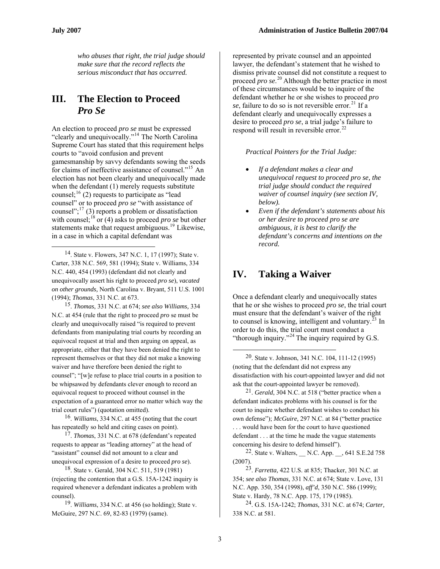$\overline{a}$ 

*who abuses that right, the trial judge should make sure that the record reflects the serious misconduct that has occurred.* 

### <span id="page-2-0"></span>**III. The Election to Proceed**  *Pro Se*

An election to proceed *pro se* must be expressed "clearly and unequivocally."[14](#page-2-2) The North Carolina Supreme Court has stated that this requirement helps courts to "avoid confusion and prevent gamesmanship by savvy defendants sowing the seeds for claims of ineffective assistance of counsel."[15](#page-2-3) An election has not been clearly and unequivocally made when the defendant (1) merely requests substitute counsel;  $^{16}$  $^{16}$  $^{16}$  (2) requests to participate as "lead counsel" or to proceed *pro se* "with assistance of counsel"; $^{17}$  $^{17}$  $^{17}$  (3) reports a problem or dissatisfaction with counsel;<sup>[18](#page-2-6)</sup> or (4) asks to proceed *pro se* but other statements make that request ambiguous.<sup>[19](#page-2-7)</sup> Likewise, in a case in which a capital defendant was

<span id="page-2-2"></span><span id="page-2-1"></span>14. State v. Flowers, 347 N.C. 1, 17 (1997); State v. Carter, 338 N.C. 569, 581 (1994); State v. Williams, 334 N.C. 440, 454 (1993) (defendant did not clearly and unequivocally assert his right to proceed *pro se*), *vacated on other grounds,* North Carolina v. Bryant, 511 U.S. 1001 (1994); *Thomas*, 331 N.C. at 673.

<span id="page-2-8"></span><span id="page-2-3"></span>15. *Thomas*, 331 N.C. at 674; *see also Williams,* 334 N.C. at 454 (rule that the right to proceed *pro* se must be clearly and unequivocally raised "is required to prevent defendants from manipulating trial courts by recording an equivocal request at trial and then arguing on appeal, as appropriate, either that they have been denied the right to represent themselves or that they did not make a knowing waiver and have therefore been denied the right to counsel"; "[w]e refuse to place trial courts in a position to be whipsawed by defendants clever enough to record an equivocal request to proceed without counsel in the expectation of a guaranteed error no matter which way the trial court rules") (quotation omitted).

<span id="page-2-9"></span><span id="page-2-4"></span>16. *Williams*, 334 N.C. at 455 (noting that the court has repeatedly so held and citing cases on point).

<span id="page-2-10"></span><span id="page-2-5"></span>17. *Thomas*, 331 N.C. at 678 (defendant's repeated requests to appear as "leading attorney" at the head of "assistant" counsel did not amount to a clear and unequivocal expression of a desire to proceed *pro se*).

<span id="page-2-6"></span>18. State v. Gerald, 304 N.C. 511, 519 (1981) (rejecting the contention that a G.S. 15A-1242 inquiry is required whenever a defendant indicates a problem with counsel).

<span id="page-2-7"></span>19. *Williams*, 334 N.C. at 456 (so holding); State v. McGuire, 297 N.C. 69, 82-83 (1979) (same).

represented by private counsel and an appointed lawyer, the defendant's statement that he wished to dismiss private counsel did not constitute a request to proceed *pro se*.<sup>[20](#page-2-8)</sup> Although the better practice in most of these circumstances would be to inquire of the defendant whether he or she wishes to proceed *pro*   $se$ , failure to do so is not reversible error.<sup>[21](#page-2-9)</sup> If a defendant clearly and unequivocally expresses a desire to proceed *pro se*, a trial judge's failure to respond will result in reversible error.<sup>[22](#page-2-10)</sup>

*Practical Pointers for the Trial Judge:* 

- *If a defendant makes a clear and unequivocal request to proceed pro se, the trial judge should conduct the required waiver of counsel inquiry (see section IV, below).*
- *Even if the defendant's statements about his or her desire to proceed pro se are ambiguous, it is best to clarify the defendant's concerns and intentions on the record.*

## **IV. Taking a Waiver**

Once a defendant clearly and unequivocally states that he or she wishes to proceed *pro se*, the trial court must ensure that the defendant's waiver of the right to counsel is knowing, intelligent and voluntary. $^{23}$  $^{23}$  $^{23}$  In order to do this, the trial court must conduct a "thorough inquiry."<sup>[24](#page-2-7)</sup> The inquiry required by G.S."

20. State v. Johnson, 341 N.C. 104, 111-12 (1995) (noting that the defendant did not express any dissatisfaction with his court-appointed lawyer and did not ask that the court-appointed lawyer be removed).

21. *Gerald*, 304 N.C. at 518 ("better practice when a defendant indicates problems with his counsel is for the court to inquire whether defendant wishes to conduct his own defense"); *McGuire,* 297 N.C. at 84 ("better practice . . . would have been for the court to have questioned defendant . . . at the time he made the vague statements concerning his desire to defend himself").

 $22$ . State v. Walters,  $\quad$  N.C. App.  $\quad$  , 641 S.E.2d 758 (2007).

23. *Farretta,* 422 U.S. at 835; Thacker, 301 N.C. at 354; *see also Thomas,* 331 N.C. at 674; State v. Love, 131 N.C. App. 350, 354 (1998), *aff'd*, 350 N.C. 586 (1999); State v. Hardy, 78 N.C. App. 175, 179 (1985).

24. G.S. 15A-1242; *Thomas,* 331 N.C. at 674; *Carter,*  338 N.C. at 581.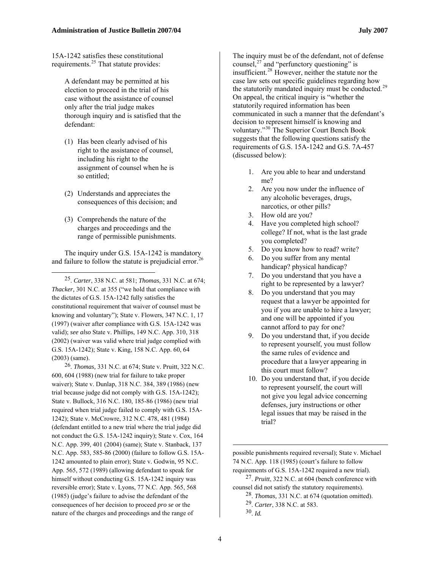15A-1242 satisfies these constitutional requirements.<sup>[25](#page-3-0)</sup> That statute provides:

> A defendant may be permitted at his election to proceed in the trial of his case without the assistance of counsel only after the trial judge makes thorough inquiry and is satisfied that the defendant:

- (1) Has been clearly advised of his right to the assistance of counsel, including his right to the assignment of counsel when he is so entitled;
- (2) Understands and appreciates the consequences of this decision; and
- (3) Comprehends the nature of the charges and proceedings and the range of permissible punishments.

 $\overline{a}$ 

The inquiry under G.S. 15A-1242 is mandatory and failure to follow the statute is prejudicial error.<sup>[26](#page-3-1)</sup>

<span id="page-3-0"></span>25. *Carter*, 338 N.C. at 581; *Thomas,* 331 N.C. at 674; *Thacker,* 301 N.C. at 355 ("we hold that compliance with the dictates of G.S. 15A-1242 fully satisfies the constitutional requirement that waiver of counsel must be knowing and voluntary"); State v. Flowers, 347 N.C. 1, 17 (1997) (waiver after compliance with G.S. 15A-1242 was valid); *see also* State v. Phillips, 149 N.C. App. 310, 318 (2002) (waiver was valid where trial judge complied with G.S. 15A-1242); State v. King, 158 N.C. App. 60, 64 (2003) (same).

<span id="page-3-5"></span><span id="page-3-4"></span><span id="page-3-3"></span><span id="page-3-2"></span><span id="page-3-1"></span>26. *Thomas,* 331 N.C. at 674; State v. Pruitt, 322 N.C. 600, 604 (1988) (new trial for failure to take proper waiver); State v. Dunlap, 318 N.C. 384, 389 (1986) (new trial because judge did not comply with G.S. 15A-1242); State v. Bullock, 316 N.C. 180, 185-86 (1986) (new trial required when trial judge failed to comply with G.S. 15A-1242); State v. McCrowre, 312 N.C. 478, 481 (1984) (defendant entitled to a new trial where the trial judge did not conduct the G.S. 15A-1242 inquiry); State v. Cox, 164 N.C. App. 399, 401 (2004) (same); State v. Stanback, 137 N.C. App. 583, 585-86 (2000) (failure to follow G.S. 15A-1242 amounted to plain error); State v. Godwin, 95 N.C. App. 565, 572 (1989) (allowing defendant to speak for himself without conducting G.S. 15A-1242 inquiry was reversible error); State v. Lyons, 77 N.C. App. 565, 568 (1985) (judge's failure to advise the defendant of the consequences of her decision to proceed *pro se* or the nature of the charges and proceedings and the range of

The inquiry must be of the defendant, not of defense counsel,<sup>[27](#page-3-2)</sup> and "perfunctory questioning" is insufficient.[28](#page-3-3) However, neither the statute nor the case law sets out specific guidelines regarding how the statutorily mandated inquiry must be conducted.<sup>[29](#page-3-4)</sup> On appeal, the critical inquiry is "whether the statutorily required information has been communicated in such a manner that the defendant's decision to represent himself is knowing and voluntary."[30](#page-3-5) The Superior Court Bench Book suggests that the following questions satisfy the requirements of G.S. 15A-1242 and G.S. 7A-457 (discussed below):

- 1. Are you able to hear and understand me?
- 2. Are you now under the influence of any alcoholic beverages, drugs, narcotics, or other pills?
- 3. How old are you?
- 4. Have you completed high school? college? If not, what is the last grade you completed?
- 5. Do you know how to read? write?
- 6. Do you suffer from any mental handicap? physical handicap?
- 7. Do you understand that you have a right to be represented by a lawyer?
- 8. Do you understand that you may request that a lawyer be appointed for you if you are unable to hire a lawyer; and one will be appointed if you cannot afford to pay for one?
- 9. Do you understand that, if you decide to represent yourself, you must follow the same rules of evidence and procedure that a lawyer appearing in this court must follow?
- 10. Do you understand that, if you decide to represent yourself, the court will not give you legal advice concerning defenses, jury instructions or other legal issues that may be raised in the trial?

possible punishments required reversal); State v. Michael 74 N.C. App. 118 (1985) (court's failure to follow requirements of G.S. 15A-1242 required a new trial).

27. *Pruitt*, 322 N.C. at 604 (bench conference with counsel did not satisfy the statutory requirements).

28. *Thomas,* 331 N.C. at 674 (quotation omitted).

29. *Carter*, 338 N.C. at 583.

 $30$ . *Id.*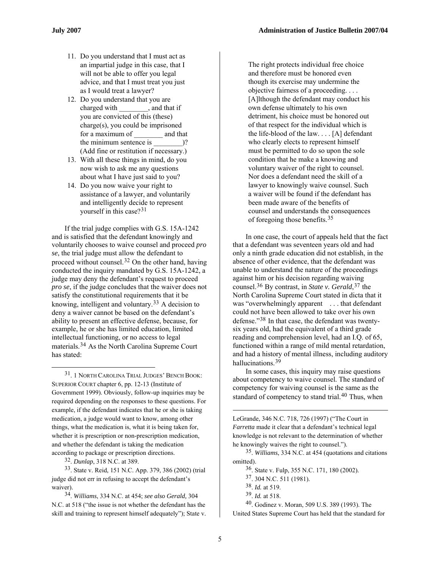- 11. Do you understand that I must act as an impartial judge in this case, that I will not be able to offer you legal advice, and that I must treat you just as I would treat a lawyer?
- 12. Do you understand that you are charged with , and that if you are convicted of this (these) charge(s), you could be imprisoned for a maximum of and that the minimum sentence is  $)$ ? (Add fine or restitution if necessary.)
- 13. With all these things in mind, do you now wish to ask me any questions about what I have just said to you?
- 14. Do you now waive your right to assistance of a lawyer, and voluntarily and intelligently decide to represent yourself in this case?<sup>[31](#page-4-0)</sup>

If the trial judge complies with G.S. 15A-1242 and is satisfied that the defendant knowingly and voluntarily chooses to waive counsel and proceed *pro se*, the trial judge must allow the defendant to proceed without counsel.[32](#page-4-1) On the other hand, having conducted the inquiry mandated by G.S. 15A-1242, a judge may deny the defendant's request to proceed *pro se*, if the judge concludes that the waiver does not satisfy the constitutional requirements that it be knowing, intelligent and voluntary.[33](#page-4-2) A decision to deny a waiver cannot be based on the defendant's ability to present an effective defense, because, for example, he or she has limited education, limited intellectual functioning, or no access to legal materials.[34](#page-4-3) As the North Carolina Supreme Court has stated:

<span id="page-4-0"></span>31. 1 NORTH CAROLINA TRIAL JUDGES' BENCH BOOK: SUPERIOR COURT chapter 6, pp. 12-13 (Institute of Government 1999). Obviously, follow-up inquiries may be required depending on the responses to these questions. For example, if the defendant indicates that he or she is taking medication, a judge would want to know, among other things, what the medication is, what it is being taken for, whether it is prescription or non-prescription medication, and whether the defendant is taking the medication according to package or prescription directions.

32. *Dunlap*, 318 N.C. at 389.

1

<span id="page-4-5"></span><span id="page-4-4"></span><span id="page-4-2"></span><span id="page-4-1"></span>33. State v. Reid, 151 N.C. App. 379, 386 (2002) (trial judge did not err in refusing to accept the defendant's waiver).

<span id="page-4-7"></span><span id="page-4-6"></span><span id="page-4-3"></span>34. *Williams*, 334 N.C. at 454; *see also Gerald,* 304 N.C. at 518 ("the issue is not whether the defendant has the skill and training to represent himself adequately"); State v.

The right protects individual free choice and therefore must be honored even though its exercise may undermine the objective fairness of a proceeding. . . . [A]lthough the defendant may conduct his own defense ultimately to his own detriment, his choice must be honored out of that respect for the individual which is the life-blood of the law. . . . [A] defendant who clearly elects to represent himself must be permitted to do so upon the sole condition that he make a knowing and voluntary waiver of the right to counsel. Nor does a defendant need the skill of a lawyer to knowingly waive counsel. Such a waiver will be found if the defendant has been made aware of the benefits of counsel and understands the consequences of foregoing those benefits.[35](#page-4-4)

In one case, the court of appeals held that the fact that a defendant was seventeen years old and had only a ninth grade education did not establish, in the absence of other evidence, that the defendant was unable to understand the nature of the proceedings against him or his decision regarding waiving counsel.[36](#page-4-2) By contrast, in *State v. Gerald*,[37](#page-4-5) the North Carolina Supreme Court stated in dicta that it was "overwhelmingly apparent ... that defendant could not have been allowed to take over his own defense."[38](#page-4-6) In that case, the defendant was twentysix years old, had the equivalent of a third grade reading and comprehension level, had an I.Q. of 65, functioned within a range of mild mental retardation, and had a history of mental illness, including auditory hallucinations.[39](#page-4-3)

In some cases, this inquiry may raise questions about competency to waive counsel. The standard of competency for waiving counsel is the same as the standard of competency to stand trial.<sup>[40](#page-4-7)</sup> Thus, when

LeGrande, 346 N.C. 718, 726 (1997) ("The Court in *Farretta* made it clear that a defendant's technical legal knowledge is not relevant to the determination of whether he knowingly waives the right to counsel.").

35. *Williams*, 334 N.C. at 454 (quotations and citations omitted).

36. State v. Fulp, 355 N.C. 171, 180 (2002).

37. 304 N.C. 511 (1981).

- 38. *Id.* at 519.
- 39. *Id.* at 518.

40. Godinez v. Moran, 509 U.S. 389 (1993). The

United States Supreme Court has held that the standard for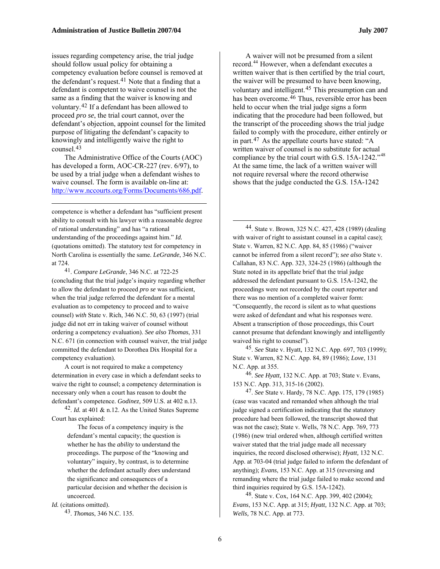issues regarding competency arise, the trial judge should follow usual policy for obtaining a competency evaluation before counsel is removed at the defendant's request.<sup>[41](#page-5-0)</sup> Note that a finding that a defendant is competent to waive counsel is not the same as a finding that the waiver is knowing and voluntary.[42](#page-5-1) If a defendant has been allowed to proceed *pro se*, the trial court cannot, over the defendant's objection, appoint counsel for the limited purpose of litigating the defendant's capacity to knowingly and intelligently waive the right to counsel.[43](#page-5-2)

The Administrative Office of the Courts (AOC) has developed a form, AOC-CR-227 (rev. 6/97), to be used by a trial judge when a defendant wishes to waive counsel. The form is available on-line at: <http://www.nccourts.org/Forms/Documents/686.pdf>.

1

<span id="page-5-3"></span>competence is whether a defendant has "sufficient present ability to consult with his lawyer with a reasonable degree of rational understanding" and has "a rational understanding of the proceedings against him." *Id.*  (quotations omitted). The statutory test for competency in North Carolina is essentially the same. *LeGrande*, 346 N.C. at 724.

<span id="page-5-0"></span>41. *Compare LeGrande*, 346 N.C. at 722-25 (concluding that the trial judge's inquiry regarding whether to allow the defendant to proceed *pro se* was sufficient, when the trial judge referred the defendant for a mental evaluation as to competency to proceed and to waive counsel) *with* State v. Rich, 346 N.C. 50, 63 (1997) (trial judge did not err in taking waiver of counsel without ordering a competency evaluation). *See also Thomas*, 331 N.C. 671 (in connection with counsel waiver, the trial judge committed the defendant to Dorothea Dix Hospital for a competency evaluation).

<span id="page-5-5"></span><span id="page-5-4"></span>A court is not required to make a competency determination in every case in which a defendant seeks to waive the right to counsel; a competency determination is necessary only when a court has reason to doubt the defendant's competence. *Godinez,* 509 U.S. at 402 n.13.

<span id="page-5-6"></span><span id="page-5-1"></span>42. *Id.* at 401 & n.12. As the United States Supreme Court has explained:

> The focus of a competency inquiry is the defendant's mental capacity; the question is whether he has the *ability* to understand the proceedings. The purpose of the "knowing and voluntary" inquiry, by contrast, is to determine whether the defendant actually *does* understand the significance and consequences of a particular decision and whether the decision is uncoerced.

<span id="page-5-7"></span><span id="page-5-2"></span>*Id.* (citations omitted). 43. *Thomas*, 346 N.C. 135.

A waiver will not be presumed from a silent record.<sup>[44](#page-5-3)</sup> However, when a defendant executes a written waiver that is then certified by the trial court, the waiver will be presumed to have been knowing, voluntary and intelligent.[45](#page-5-4) This presumption can and has been overcome.<sup>[46](#page-5-5)</sup> Thus, reversible error has been held to occur when the trial judge signs a form indicating that the procedure had been followed, but the transcript of the proceeding shows the trial judge failed to comply with the procedure, either entirely or in part.[47](#page-5-6) As the appellate courts have stated: "A written waiver of counsel is no substitute for actual compliance by the trial court with G.S. 15A-1242."<sup>[48](#page-5-7)</sup> At the same time, the lack of a written waiver will not require reversal where the record otherwise shows that the judge conducted the G.S. 15A-1242

44. State v. Brown, 325 N.C. 427, 428 (1989) (dealing with waiver of right to assistant counsel in a capital case); State v. Warren, 82 N.C. App. 84, 85 (1986) ("waiver cannot be inferred from a silent record"); *see also* State v. Callahan, 83 N.C. App. 323, 324-25 (1986) (although the State noted in its appellate brief that the trial judge addressed the defendant pursuant to G.S. 15A-1242, the proceedings were not recorded by the court reporter and there was no mention of a completed waiver form: "Consequently, the record is silent as to what questions were asked of defendant and what his responses were. Absent a transcription of those proceedings, this Court cannot presume that defendant knowingly and intelligently waived his right to counsel").

45. *See* State v. Hyatt*,* 132 N.C. App. 697, 703 (1999); State v. Warren, 82 N.C. App. 84, 89 (1986); *Love*, 131 N.C. App. at 355.

46. *See Hyatt,* 132 N.C. App. at 703; State v. Evans, 153 N.C. App. 313, 315-16 (2002).

47. *See* State v. Hardy, 78 N.C. App. 175, 179 (1985) (case was vacated and remanded when although the trial judge signed a certification indicating that the statutory procedure had been followed, the transcript showed that was not the case); State v. Wells, 78 N.C. App. 769, 773 (1986) (new trial ordered when, although certified written waiver stated that the trial judge made all necessary inquiries, the record disclosed otherwise); *Hyatt,* 132 N.C. App. at 703-04 (trial judge failed to inform the defendant of anything); *Evans*, 153 N.C. App. at 315 (reversing and remanding where the trial judge failed to make second and third inquiries required by G.S. 15A-1242).

48. State v. Cox, 164 N.C. App. 399, 402 (2004); *Evans*, 153 N.C. App. at 315; *Hyatt,* 132 N.C. App. at 703; *Wells,* 78 N.C. App. at 773.

 $\overline{a}$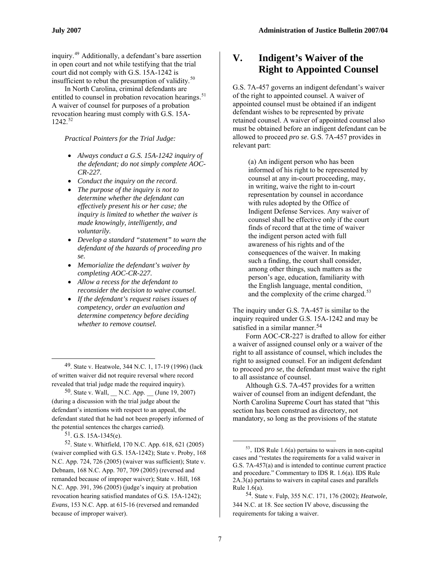<span id="page-6-0"></span>inquiry.[49](#page-6-1) Additionally, a defendant's bare assertion in open court and not while testifying that the trial court did not comply with G.S. 15A-1242 is insufficient to rebut the presumption of validity. $50$ 

In North Carolina, criminal defendants are entitled to counsel in probation revocation hearings.<sup>[51](#page-6-3)</sup> A waiver of counsel for purposes of a probation revocation hearing must comply with G.S. 15A- $1242.^{52}$  $1242.^{52}$  $1242.^{52}$ 

*Practical Pointers for the Trial Judge:* 

- *Always conduct a G.S. 15A-1242 inquiry of the defendant; do not simply complete AOC-CR-227.*
- *Conduct the inquiry on the record.*
- *The purpose of the inquiry is not to determine whether the defendant can effectively present his or her case; the inquiry is limited to whether the waiver is made knowingly, intelligently, and voluntarily.*
- *Develop a standard "statement" to warn the defendant of the hazards of proceeding pro se.*
- *Memorialize the defendant's waiver by completing AOC-CR-227.*
- *Allow a recess for the defendant to reconsider the decision to waive counsel.*
- *If the defendant's request raises issues of competency, order an evaluation and determine competency before deciding whether to remove counsel.*

<span id="page-6-1"></span>49. State v. Heatwole, 344 N.C. 1, 17-19 (1996) (lack of written waiver did not require reversal where record revealed that trial judge made the required inquiry).

<span id="page-6-2"></span><sup>50</sup>. State v. Wall, \_ N.C. App.  $($  June 19, 2007) (during a discussion with the trial judge about the defendant's intentions with respect to an appeal, the defendant stated that he had not been properly informed of the potential sentences the charges carried).

51. G.S. 15A-1345(e).

 $\overline{a}$ 

<span id="page-6-6"></span><span id="page-6-5"></span><span id="page-6-4"></span><span id="page-6-3"></span>52. State v. Whitfield, 170 N.C. App. 618, 621 (2005) (waiver complied with G.S. 15A-1242); State v. Proby, 168 N.C. App. 724, 726 (2005) (waiver was sufficient); State v. Debnam, 168 N.C. App. 707, 709 (2005) (reversed and remanded because of improper waiver); State v. Hill, 168 N.C. App. 391, 396 (2005) (judge's inquiry at probation revocation hearing satisfied mandates of G.S. 15A-1242); *Evans*, 153 N.C. App. at 615-16 (reversed and remanded because of improper waiver).

#### **V. Indigent's Waiver of the Right to Appointed Counsel**

G.S. 7A-457 governs an indigent defendant's waiver of the right to appointed counsel. A waiver of appointed counsel must be obtained if an indigent defendant wishes to be represented by private retained counsel. A waiver of appointed counsel also must be obtained before an indigent defendant can be allowed to proceed *pro se*. G.S. 7A-457 provides in relevant part:

(a) An indigent person who has been informed of his right to be represented by counsel at any in-court proceeding, may, in writing, waive the right to in-court representation by counsel in accordance with rules adopted by the Office of Indigent Defense Services. Any waiver of counsel shall be effective only if the court finds of record that at the time of waiver the indigent person acted with full awareness of his rights and of the consequences of the waiver. In making such a finding, the court shall consider, among other things, such matters as the person's age, education, familiarity with the English language, mental condition, and the complexity of the crime charged.<sup>[53](#page-6-5)</sup>

The inquiry under G.S. 7A-457 is similar to the inquiry required under G.S. 15A-1242 and may be satisfied in a similar manner.<sup>[54](#page-6-6)</sup>

Form AOC-CR-227 is drafted to allow for either a waiver of assigned counsel only or a waiver of the right to all assistance of counsel, which includes the right to assigned counsel. For an indigent defendant to proceed *pro se*, the defendant must waive the right to all assistance of counsel.

Although G.S. 7A-457 provides for a written waiver of counsel from an indigent defendant, the North Carolina Supreme Court has stated that "this section has been construed as directory, not mandatory, so long as the provisions of the statute

-

<sup>53.</sup> IDS Rule 1.6(a) pertains to waivers in non-capital cases and "restates the requirements for a valid waiver in G.S. 7A-457(a) and is intended to continue current practice and procedure." Commentary to IDS R. 1.6(a). IDS Rule 2A.3(a) pertains to waivers in capital cases and parallels Rule 1.6(a).

<sup>54.</sup> State v. Fulp, 355 N.C. 171, 176 (2002); *Heatwole,* 344 N.C. at 18. See section IV above, discussing the requirements for taking a waiver.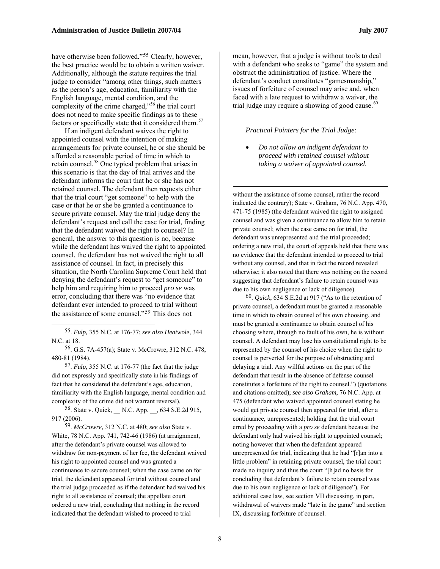does not need to make specific findings as to these

have otherwise been followed."<sup>[55](#page-7-0)</sup> Clearly, however, the best practice would be to obtain a written waiver. Additionally, although the statute requires the trial judge to consider "among other things, such matters as the person's age, education, familiarity with the English language, mental condition, and the complexity of the crime charged,"<sup>[56](#page-7-1)</sup> the trial court

factors or specifically state that it considered them.<sup>[57](#page-7-2)</sup> If an indigent defendant waives the right to appointed counsel with the intention of making arrangements for private counsel, he or she should be afforded a reasonable period of time in which to retain counsel.<sup>[58](#page-7-3)</sup> One typical problem that arises in this scenario is that the day of trial arrives and the defendant informs the court that he or she has not retained counsel. The defendant then requests either that the trial court "get someone" to help with the case or that he or she be granted a continuance to secure private counsel. May the trial judge deny the defendant's request and call the case for trial, finding that the defendant waived the right to counsel? In general, the answer to this question is no, because while the defendant has waived the right to appointed counsel, the defendant has not waived the right to all assistance of counsel. In fact, in precisely this situation, the North Carolina Supreme Court held that denying the defendant's request to "get someone" to help him and requiring him to proceed *pro se* was error, concluding that there was "no evidence that defendant ever intended to proceed to trial without the assistance of some counsel."[59](#page-7-4) This does not

<span id="page-7-5"></span> $\overline{a}$ 

<span id="page-7-1"></span>56. G.S. 7A-457(a); State v. McCrowre, 312 N.C. 478, 480-81 (1984).

<span id="page-7-2"></span>57. *Fulp,* 355 N.C. at 176-77 (the fact that the judge did not expressly and specifically state in his findings of fact that he considered the defendant's age, education, familiarity with the English language, mental condition and complexity of the crime did not warrant reversal).

<span id="page-7-3"></span>58. State v. Quick, \_\_ N.C. App. \_\_, 634 S.E.2d 915, 917 (2006).

<span id="page-7-4"></span>59. *McCrowre*, 312 N.C. at 480; *see also* State v. White, 78 N.C. App. 741, 742-46 (1986) (at arraignment, after the defendant's private counsel was allowed to withdraw for non-payment of her fee, the defendant waived his right to appointed counsel and was granted a continuance to secure counsel; when the case came on for trial, the defendant appeared for trial without counsel and the trial judge proceeded as if the defendant had waived his right to all assistance of counsel; the appellate court ordered a new trial, concluding that nothing in the record indicated that the defendant wished to proceed to trial

mean, however, that a judge is without tools to deal with a defendant who seeks to "game" the system and obstruct the administration of justice. Where the defendant's conduct constitutes "gamesmanship," issues of forfeiture of counsel may arise and, when faced with a late request to withdraw a waiver, the trial judge may require a showing of good cause. $60$ 

#### *Practical Pointers for the Trial Judge:*

1

• *Do not allow an indigent defendant to proceed with retained counsel without taking a waiver of appointed counsel.*

without the assistance of some counsel, rather the record indicated the contrary); State v. Graham, 76 N.C. App. 470, 471-75 (1985) (the defendant waived the right to assigned counsel and was given a continuance to allow him to retain private counsel; when the case came on for trial, the defendant was unrepresented and the trial proceeded; ordering a new trial, the court of appeals held that there was no evidence that the defendant intended to proceed to trial without any counsel, and that in fact the record revealed otherwise; it also noted that there was nothing on the record suggesting that defendant's failure to retain counsel was due to his own negligence or lack of diligence).

60. *Quick*, 634 S.E.2d at 917 ("As to the retention of private counsel, a defendant must be granted a reasonable time in which to obtain counsel of his own choosing, and must be granted a continuance to obtain counsel of his choosing where, through no fault of his own, he is without counsel. A defendant may lose his constitutional right to be represented by the counsel of his choice when the right to counsel is perverted for the purpose of obstructing and delaying a trial. Any willful actions on the part of the defendant that result in the absence of defense counsel constitutes a forfeiture of the right to counsel.") (quotations and citations omitted); *see also Graham*, 76 N.C. App. at 475 (defendant who waived appointed counsel stating he would get private counsel then appeared for trial, after a continuance, unrepresented; holding that the trial court erred by proceeding with a *pro se* defendant because the defendant only had waived his right to appointed counsel; noting however that when the defendant appeared unrepresented for trial, indicating that he had "[r]an into a little problem" in retaining private counsel, the trial court made no inquiry and thus the court "[h]ad no basis for concluding that defendant's failure to retain counsel was due to his own negligence or lack of diligence"). For additional case law, see section VII discussing, in part, withdrawal of waivers made "late in the game" and section IX, discussing forfeiture of counsel.

<span id="page-7-0"></span><sup>55.</sup> *Fulp,* 355 N.C. at 176-77; *see also Heatwole,* 344 N.C. at 18.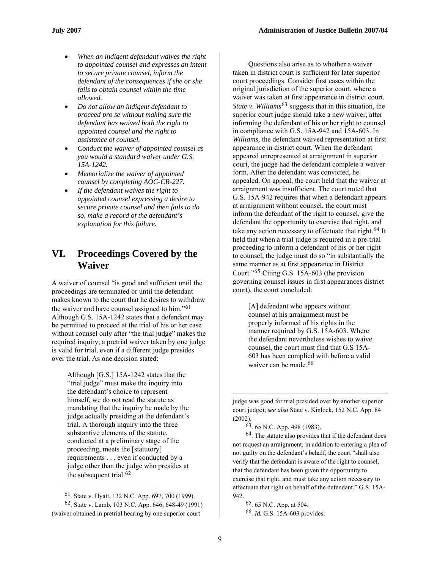- *When an indigent defendant waives the right to appointed counsel and expresses an intent to secure private counsel, inform the defendant of the consequences if she or she fails to obtain counsel within the time allowed.*
- *Do not allow an indigent defendant to proceed pro se without making sure the defendant has waived both the right to appointed counsel and the right to assistance of counsel.*
- *Conduct the waiver of appointed counsel as you would a standard waiver under G.S. 15A-1242.*
- *Memorialize the waiver of appointed counsel by completing AOC-CR-227.*
- *If the defendant waives the right to appointed counsel expressing a desire to secure private counsel and then fails to do so, make a record of the defendant's explanation for this failure.*

#### <span id="page-8-0"></span>**VI. Proceedings Covered by the Waiver**

A waiver of counsel "is good and sufficient until the proceedings are terminated or until the defendant makes known to the court that he desires to withdraw the waiver and have counsel assigned to him."[61](#page-8-1) Although G.S. 15A-1242 states that a defendant may be permitted to proceed at the trial of his or her case without counsel only after "the trial judge" makes the required inquiry, a pretrial waiver taken by one judge is valid for trial, even if a different judge presides over the trial. As one decision stated:

Although [G.S.] 15A-1242 states that the "trial judge" must make the inquiry into the defendant's choice to represent himself, we do not read the statute as mandating that the inquiry be made by the judge actually presiding at the defendant's trial. A thorough inquiry into the three substantive elements of the statute, conducted at a preliminary stage of the proceeding, meets the [statutory] requirements . . . even if conducted by a judge other than the judge who presides at the subsequent trial.<sup>[62](#page-8-2)</sup>

<span id="page-8-4"></span><span id="page-8-3"></span> $\overline{a}$ 

Questions also arise as to whether a waiver taken in district court is sufficient for later superior court proceedings. Consider first cases within the original jurisdiction of the superior court, where a waiver was taken at first appearance in district court. *State v. Williams*[63](#page-8-3) suggests that in this situation, the superior court judge should take a new waiver, after informing the defendant of his or her right to counsel in compliance with G.S. 15A-942 and 15A-603. In *Williams,* the defendant waived representation at first appearance in district court. When the defendant appeared unrepresented at arraignment in superior court, the judge had the defendant complete a waiver form. After the defendant was convicted, he appealed. On appeal, the court held that the waiver at arraignment was insufficient. The court noted that G.S. 15A-942 requires that when a defendant appears at arraignment without counsel, the court must inform the defendant of the right to counsel, give the defendant the opportunity to exercise that right, and take any action necessary to effectuate that right.<sup>[64](#page-8-4)</sup> It held that when a trial judge is required in a pre-trial proceeding to inform a defendant of his or her right to counsel, the judge must do so "in substantially the same manner as at first appearance in District Court."[65](#page-8-2) Citing G.S. 15A-603 (the provision governing counsel issues in first appearances district court), the court concluded:

[A] defendant who appears without counsel at his arraignment must be properly informed of his rights in the manner required by G.S. 15A-603. Where the defendant nevertheless wishes to waive counsel, the court must find that G.S 15A-603 has been complied with before a valid waiver can be made.<sup>[66](#page-8-5)</sup>

judge was good for trial presided over by another superior court judge); *see also* State v. Kinlock, 152 N.C. App. 84 (2002).

63. 65 N.C. App. 498 (1983).

64. The statute also provides that if the defendant does not request an arraignment, in addition to entering a plea of not guilty on the defendant's behalf, the court "shall also verify that the defendant is aware of the right to counsel, that the defendant has been given the opportunity to exercise that right, and must take any action necessary to effectuate that right on behalf of the defendant." G.S. 15A-942.

65. 65 N.C. App. at 504.

66. *Id.* G.S. 15A-603 provides:

<sup>61.</sup> State v. Hyatt, 132 N.C. App. 697, 700 (1999).

<span id="page-8-5"></span><span id="page-8-2"></span><span id="page-8-1"></span><sup>62.</sup> State v. Lamb, 103 N.C. App. 646, 648-49 (1991) (waiver obtained in pretrial hearing by one superior court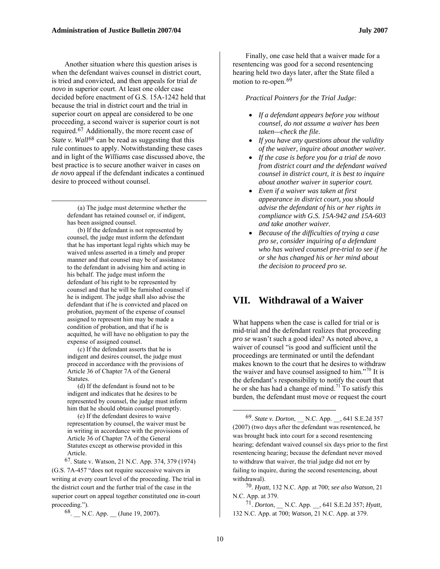Another situation where this question arises is when the defendant waives counsel in district court, is tried and convicted, and then appeals for trial *de novo* in superior court. At least one older case decided before enactment of G.S. 15A-1242 held that because the trial in district court and the trial in superior court on appeal are considered to be one proceeding, a second waiver is superior court is not required.[67](#page-9-1) Additionally, the more recent case of *State v. Wall*<sup>[68](#page-9-2)</sup> can be read as suggesting that this rule continues to apply. Notwithstanding these cases and in light of the *Williams* case discussed above, the best practice is to secure another waiver in cases on *de novo* appeal if the defendant indicates a continued desire to proceed without counsel.

(a) The judge must determine whether the defendant has retained counsel or, if indigent, has been assigned counsel.

 $\overline{a}$ 

(b) If the defendant is not represented by counsel, the judge must inform the defendant that he has important legal rights which may be waived unless asserted in a timely and proper manner and that counsel may be of assistance to the defendant in advising him and acting in his behalf. The judge must inform the defendant of his right to be represented by counsel and that he will be furnished counsel if he is indigent. The judge shall also advise the defendant that if he is convicted and placed on probation, payment of the expense of counsel assigned to represent him may be made a condition of probation, and that if he is acquitted, he will have no obligation to pay the expense of assigned counsel.

<span id="page-9-0"></span>(c) If the defendant asserts that he is indigent and desires counsel, the judge must proceed in accordance with the provisions of Article 36 of Chapter 7A of the General **Statutes** 

(d) If the defendant is found not to be indigent and indicates that he desires to be represented by counsel, the judge must inform him that he should obtain counsel promptly.

<span id="page-9-3"></span>(e) If the defendant desires to waive representation by counsel, the waiver must be in writing in accordance with the provisions of Article 36 of Chapter 7A of the General Statutes except as otherwise provided in this Article.

<span id="page-9-4"></span><span id="page-9-1"></span>67. State v. Watson, 21 N.C. App. 374, 379 (1974) (G.S. 7A-457 "does not require successive waivers in writing at every court level of the proceeding. The trial in the district court and the further trial of the case in the superior court on appeal together constituted one in-court proceeding.").

<span id="page-9-5"></span><span id="page-9-2"></span>68. N.C. App. (June 19, 2007).

Finally, one case held that a waiver made for a resentencing was good for a second resentencing hearing held two days later, after the State filed a motion to re-open.<sup>[69](#page-9-3)</sup>

*Practical Pointers for the Trial Judge:* 

- *If a defendant appears before you without counsel, do not assume a waiver has been taken—check the file.*
- *If you have any questions about the validity of the waiver, inquire about another waiver.*
- *If the case is before you for a trial de novo from district court and the defendant waived counsel in district court, it is best to inquire about another waiver in superior court.*
- *Even if a waiver was taken at first appearance in district court, you should advise the defendant of his or her rights in compliance with G.S. 15A-942 and 15A-603 and take another waiver.*
- *Because of the difficulties of trying a case pro se, consider inquiring of a defendant who has waived counsel pre-trial to see if he or she has changed his or her mind about the decision to proceed pro se.*

#### **VII. Withdrawal of a Waiver**

What happens when the case is called for trial or is mid-trial and the defendant realizes that proceeding *pro se* wasn't such a good idea? As noted above, a waiver of counsel "is good and sufficient until the proceedings are terminated or until the defendant makes known to the court that he desires to withdraw the waiver and have counsel assigned to him."<sup>[70](#page-9-4)</sup> It is the defendant's responsibility to notify the court that he or she has had a change of mind.<sup>[71](#page-9-5)</sup> To satisfy this burden, the defendant must move or request the court

70. *Hyatt*, 132 N.C. App. at 700; *see also Watson,* 21 N.C. App. at 379.

71. *Dorton*, \_\_ N.C. App. \_\_, 641 S.E.2d 357; *Hyatt,*  132 N.C. App. at 700; *Watson,* 21 N.C. App. at 379.

 $\overline{a}$ 

<sup>69.</sup> *State v. Dorton*, \_\_ N.C. App. \_\_, 641 S.E.2d 357 (2007) (two days after the defendant was resentenced, he was brought back into court for a second resentencing hearing; defendant waived counsel six days prior to the first resentencing hearing; because the defendant never moved to withdraw that waiver, the trial judge did not err by failing to inquire, during the second resentencing, about withdrawal).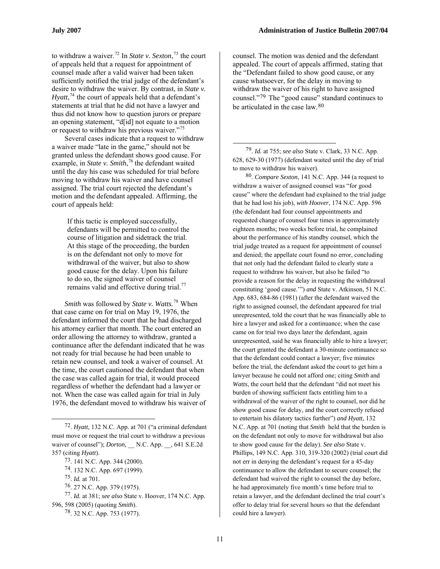to withdraw a waiver.[72](#page-10-0) In *State v. Sexton*, [73](#page-10-1) the court of appeals held that a request for appointment of counsel made after a valid waiver had been taken sufficiently notified the trial judge of the defendant's desire to withdraw the waiver. By contrast, in *State v. Hyatt*, $^{74}$  $^{74}$  $^{74}$  the court of appeals held that a defendant's statements at trial that he did not have a lawyer and thus did not know how to question jurors or prepare an opening statement, "d[id] not equate to a motion or request to withdraw his previous waiver."[75](#page-10-3)

<span id="page-10-8"></span><span id="page-10-7"></span>Several cases indicate that a request to withdraw a waiver made "late in the game," should not be granted unless the defendant shows good cause. For example, in *State v. Smith*, [76](#page-10-4) the defendant waited until the day his case was scheduled for trial before moving to withdraw his waiver and have counsel assigned. The trial court rejected the defendant's motion and the defendant appealed. Affirming, the court of appeals held:

> If this tactic is employed successfully, defendants will be permitted to control the course of litigation and sidetrack the trial. At this stage of the proceeding, the burden is on the defendant not only to move for withdrawal of the waiver, but also to show good cause for the delay. Upon his failure to do so, the signed waiver of counsel remains valid and effective during trial.<sup>[77](#page-10-5)</sup>

*Smith* was followed by *State v. Watts.*[78](#page-10-6) When that case came on for trial on May 19, 1976, the defendant informed the court that he had discharged his attorney earlier that month. The court entered an order allowing the attorney to withdraw, granted a continuance after the defendant indicated that he was not ready for trial because he had been unable to retain new counsel, and took a waiver of counsel. At the time, the court cautioned the defendant that when the case was called again for trial, it would proceed regardless of whether the defendant had a lawyer or not. When the case was called again for trial in July 1976, the defendant moved to withdraw his waiver of

1

counsel. The motion was denied and the defendant appealed. The court of appeals affirmed, stating that the "Defendant failed to show good cause, or any cause whatsoever, for the delay in moving to withdraw the waiver of his right to have assigned counsel."[79](#page-10-7) The "good cause" standard continues to be articulated in the case law  $80$ 

79. *Id.* at 755; *see also* State v. Clark, 33 N.C. App. 628, 629-30 (1977) (defendant waited until the day of trial to move to withdraw his waiver).

1

80. *Compare Sexton*, 141 N.C. App. 344 (a request to withdraw a waiver of assigned counsel was "for good cause" where the defendant had explained to the trial judge that he had lost his job), *with Hoover*, 174 N.C. App. 596 (the defendant had four counsel appointments and requested change of counsel four times in approximately eighteen months; two weeks before trial, he complained about the performance of his standby counsel, which the trial judge treated as a request for appointment of counsel and denied; the appellate court found no error, concluding that not only had the defendant failed to clearly state a request to withdraw his waiver, but also he failed "to provide a reason for the delay in requesting the withdrawal constituting 'good cause.'") *and* State v. Atkinson, 51 N.C. App. 683, 684-86 (1981) (after the defendant waived the right to assigned counsel, the defendant appeared for trial unrepresented, told the court that he was financially able to hire a lawyer and asked for a continuance; when the case came on for trial two days later the defendant, again unrepresented, said he was financially able to hire a lawyer; the court granted the defendant a 30-minute continuance so that the defendant could contact a lawyer; five minutes before the trial, the defendant asked the court to get him a lawyer because he could not afford one; citing *Smith* and *Watts*, the court held that the defendant "did not meet his burden of showing sufficient facts entitling him to a withdrawal of the waiver of the right to counsel, nor did he show good cause for delay, and the court correctly refused to entertain his dilatory tactics further") *and Hyatt,* 132 N.C. App. at 701 (noting that *Smith* held that the burden is on the defendant not only to move for withdrawal but also to show good cause for the delay). *See also* State v. Phillips, 149 N.C. App. 310, 319-320 (2002) (trial court did not err in denying the defendant's request for a 45-day continuance to allow the defendant to secure counsel; the defendant had waived the right to counsel the day before, he had approximately five month's time before trial to retain a lawyer, and the defendant declined the trial court's offer to delay trial for several hours so that the defendant could hire a lawyer).

<span id="page-10-1"></span><span id="page-10-0"></span><sup>72.</sup> *Hyatt,* 132 N.C. App. at 701 ("a criminal defendant must move or request the trial court to withdraw a previous waiver of counsel"); *Dorton,* \_\_ N.C. App. \_\_, 641 S.E.2d 357 (citing *Hyatt*).

<sup>73. 141</sup> N.C. App. 344 (2000).

<sup>74. 132</sup> N.C. App. 697 (1999).

<sup>75.</sup> *Id.* at 701.

<sup>76. 27</sup> N.C. App. 379 (1975).

<span id="page-10-6"></span><span id="page-10-5"></span><span id="page-10-4"></span><span id="page-10-3"></span><span id="page-10-2"></span><sup>77.</sup> *Id.* at 381; *see also* State v. Hoover, 174 N.C. App. 596, 598 (2005) (quoting *Smith*).

<sup>78. 32</sup> N.C. App. 753 (1977).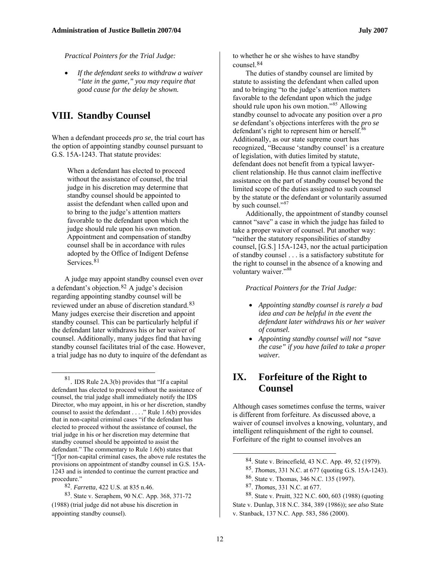*Practical Pointers for the Trial Judge:* 

• *If the defendant seeks to withdraw a waiver "late in the game," you may require that good cause for the delay be shown.* 

#### <span id="page-11-0"></span>**VIII. Standby Counsel**

When a defendant proceeds *pro se*, the trial court has the option of appointing standby counsel pursuant to G.S. 15A-1243. That statute provides:

When a defendant has elected to proceed without the assistance of counsel, the trial judge in his discretion may determine that standby counsel should be appointed to assist the defendant when called upon and to bring to the judge's attention matters favorable to the defendant upon which the judge should rule upon his own motion. Appointment and compensation of standby counsel shall be in accordance with rules adopted by the Office of Indigent Defense Services.<sup>[81](#page-11-2)</sup>

A judge may appoint standby counsel even over a defendant's objection.[82](#page-11-3) A judge's decision regarding appointing standby counsel will be reviewed under an abuse of discretion standard.[83](#page-11-4) Many judges exercise their discretion and appoint standby counsel. This can be particularly helpful if the defendant later withdraws his or her waiver of counsel. Additionally, many judges find that having standby counsel facilitates trial of the case. However, a trial judge has no duty to inquire of the defendant as

<span id="page-11-2"></span><span id="page-11-1"></span>81. IDS Rule 2A.3(b) provides that "If a capital defendant has elected to proceed without the assistance of counsel, the trial judge shall immediately notify the IDS Director, who may appoint, in his or her discretion, standby counsel to assist the defendant . . . ." Rule 1.6(b) provides that in non-capital criminal cases "if the defendant has elected to proceed without the assistance of counsel, the trial judge in his or her discretion may determine that standby counsel should be appointed to assist the defendant." The commentary to Rule 1.6(b) states that "[f]or non-capital criminal cases, the above rule restates the provisions on appointment of standby counsel in G.S. 15A-1243 and is intended to continue the current practice and procedure."

 $\overline{a}$ 

to whether he or she wishes to have standby counsel.<sup>[84](#page-11-5)</sup>

The duties of standby counsel are limited by statute to assisting the defendant when called upon and to bringing "to the judge's attention matters favorable to the defendant upon which the judge should rule upon his own motion."<sup>[85](#page-11-6)</sup> Allowing standby counsel to advocate any position over a *pro se* defendant's objections interferes with the *pro se* defendant's right to represent him or herself.<sup>[86](#page-11-7)</sup> Additionally, as our state supreme court has recognized, "Because 'standby counsel' is a creature of legislation, with duties limited by statute, defendant does not benefit from a typical lawyerclient relationship. He thus cannot claim ineffective assistance on the part of standby counsel beyond the limited scope of the duties assigned to such counsel by the statute or the defendant or voluntarily assumed by such counsel."<sup>[87](#page-11-3)</sup>

Additionally, the appointment of standby counsel cannot "save" a case in which the judge has failed to take a proper waiver of counsel. Put another way: "neither the statutory responsibilities of standby counsel, [G.S.] 15A-1243, nor the actual participation of standby counsel . . . is a satisfactory substitute for the right to counsel in the absence of a knowing and voluntary waiver."<sup>[88](#page-11-4)</sup>

*Practical Pointers for the Trial Judge:* 

- *Appointing standby counsel is rarely a bad idea and can be helpful in the event the defendant later withdraws his or her waiver of counsel.*
- *Appointing standby counsel will not "save the case" if you have failed to take a proper waiver.*

#### **IX. Forfeiture of the Right to Counsel**

Although cases sometimes confuse the terms, waiver is different from forfeiture. As discussed above, a waiver of counsel involves a knowing, voluntary, and intelligent relinquishment of the right to counsel. Forfeiture of the right to counsel involves an

<sup>82.</sup> *Farretta*, 422 U.S. at 835 n.46.

<span id="page-11-7"></span><span id="page-11-6"></span><span id="page-11-5"></span><span id="page-11-4"></span><span id="page-11-3"></span><sup>83.</sup> State v. Seraphem, 90 N.C. App. 368, 371-72 (1988) (trial judge did not abuse his discretion in appointing standby counsel).

<sup>84.</sup> State v. Brincefield, 43 N.C. App. 49, 52 (1979).

<sup>85.</sup> *Thomas,* 331 N.C. at 677 (quoting G.S. 15A-1243).

<sup>86.</sup> State v. Thomas, 346 N.C. 135 (1997).

<sup>87.</sup> *Thomas,* 331 N.C. at 677.

<sup>88.</sup> State v. Pruitt, 322 N.C. 600, 603 (1988) (quoting State v. Dunlap, 318 N.C. 384, 389 (1986)); *see also* State v. Stanback, 137 N.C. App. 583, 586 (2000).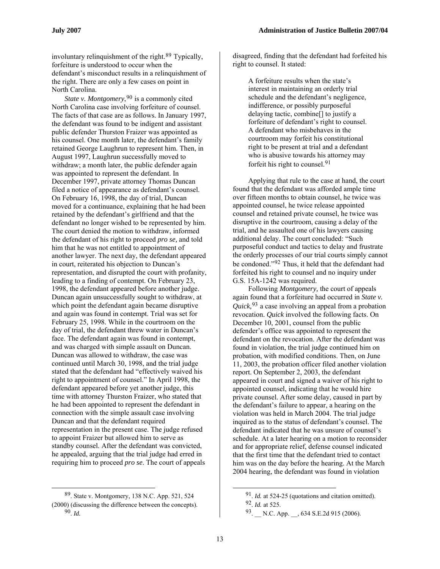involuntary relinquishment of the right.[89](#page-12-0) Typically, forfeiture is understood to occur when the defendant's misconduct results in a relinquishment of the right. There are only a few cases on point in North Carolina.

*State v. Montgomery*, <sup>[90](#page-12-1)</sup> is a commonly cited North Carolina case involving forfeiture of counsel. The facts of that case are as follows. In January 1997, the defendant was found to be indigent and assistant public defender Thurston Fraizer was appointed as his counsel. One month later, the defendant's family retained George Laughrun to represent him. Then, in August 1997, Laughrun successfully moved to withdraw; a month later, the public defender again was appointed to represent the defendant. In December 1997, private attorney Thomas Duncan filed a notice of appearance as defendant's counsel. On February 16, 1998, the day of trial, Duncan moved for a continuance, explaining that he had been retained by the defendant's girlfriend and that the defendant no longer wished to be represented by him. The court denied the motion to withdraw, informed the defendant of his right to proceed *pro se,* and told him that he was not entitled to appointment of another lawyer. The next day, the defendant appeared in court, reiterated his objection to Duncan's representation, and disrupted the court with profanity, leading to a finding of contempt. On February 23, 1998, the defendant appeared before another judge. Duncan again unsuccessfully sought to withdraw, at which point the defendant again became disruptive and again was found in contempt. Trial was set for February 25, 1998. While in the courtroom on the day of trial, the defendant threw water in Duncan's face. The defendant again was found in contempt, and was charged with simple assault on Duncan. Duncan was allowed to withdraw, the case was continued until March 30, 1998, and the trial judge stated that the defendant had "effectively waived his right to appointment of counsel." In April 1998, the defendant appeared before yet another judge, this time with attorney Thurston Fraizer, who stated that he had been appointed to represent the defendant in connection with the simple assault case involving Duncan and that the defendant required representation in the present case. The judge refused to appoint Fraizer but allowed him to serve as standby counsel. After the defendant was convicted, he appealed, arguing that the trial judge had erred in requiring him to proceed *pro se*. The court of appeals

disagreed, finding that the defendant had forfeited his right to counsel. It stated:

A forfeiture results when the state's interest in maintaining an orderly trial schedule and the defendant's negligence, indifference, or possibly purposeful delaying tactic, combine[] to justify a forfeiture of defendant's right to counsel. A defendant who misbehaves in the courtroom may forfeit his constitutional right to be present at trial and a defendant who is abusive towards his attorney may forfeit his right to counsel.[91](#page-12-0)

Applying that rule to the case at hand, the court found that the defendant was afforded ample time over fifteen months to obtain counsel, he twice was appointed counsel, he twice release appointed counsel and retained private counsel, he twice was disruptive in the courtroom, causing a delay of the trial, and he assaulted one of his lawyers causing additional delay. The court concluded: "Such purposeful conduct and tactics to delay and frustrate the orderly processes of our trial courts simply cannot be condoned."[92](#page-12-2) Thus, it held that the defendant had forfeited his right to counsel and no inquiry under G.S. 15A-1242 was required.

Following *Montgomery,* the court of appeals again found that a forfeiture had occurred in *State v. Quick,*[93](#page-12-1) a case involving an appeal from a probation revocation. *Quick* involved the following facts. On December 10, 2001, counsel from the public defender's office was appointed to represent the defendant on the revocation. After the defendant was found in violation, the trial judge continued him on probation, with modified conditions. Then, on June 11, 2003, the probation officer filed another violation report. On September 2, 2003, the defendant appeared in court and signed a waiver of his right to appointed counsel, indicating that he would hire private counsel. After some delay, caused in part by the defendant's failure to appear, a hearing on the violation was held in March 2004. The trial judge inquired as to the status of defendant's counsel. The defendant indicated that he was unsure of counsel's schedule. At a later hearing on a motion to reconsider and for appropriate relief, defense counsel indicated that the first time that the defendant tried to contact him was on the day before the hearing. At the March 2004 hearing, the defendant was found in violation

<span id="page-12-2"></span><span id="page-12-1"></span><span id="page-12-0"></span> <sup>89.</sup> State v. Montgomery, 138 N.C. App. 521, 524 (2000) (discussing the difference between the concepts). 90. *Id.*

<sup>91.</sup> *Id.* at 524-25 (quotations and citation omitted). 92. *Id.* at 525.

<sup>93.</sup> N.C. App. , 634 S.E.2d 915 (2006).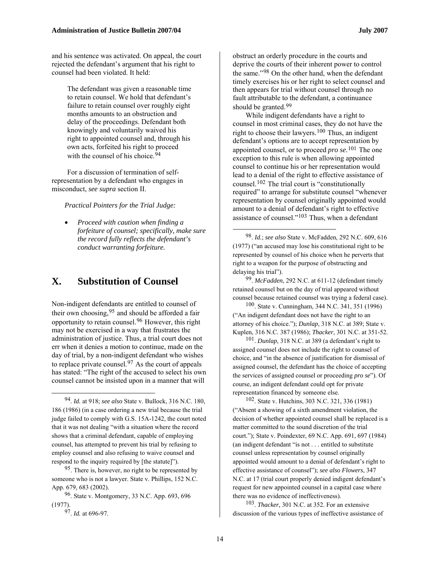and his sentence was activated. On appeal, the court rejected the defendant's argument that his right to counsel had been violated. It held:

> The defendant was given a reasonable time to retain counsel. We hold that defendant's failure to retain counsel over roughly eight months amounts to an obstruction and delay of the proceedings. Defendant both knowingly and voluntarily waived his right to appointed counsel and, through his own acts, forfeited his right to proceed with the counsel of his choice  $94$

For a discussion of termination of selfrepresentation by a defendant who engages in misconduct, *see supra* section II.

*Practical Pointers for the Trial Judge:* 

<span id="page-13-5"></span>• *Proceed with caution when finding a forfeiture of counsel; specifically, make sure the record fully reflects the defendant's conduct warranting forfeiture.*

### <span id="page-13-0"></span>**X. Substitution of Counsel**

<span id="page-13-7"></span><span id="page-13-6"></span>Non-indigent defendants are entitled to counsel of their own choosing,  $95$  and should be afforded a fair opportunity to retain counsel.[96](#page-13-3) However, this right may not be exercised in a way that frustrates the administration of justice. Thus, a trial court does not err when it denies a motion to continue, made on the day of trial, by a non-indigent defendant who wishes to replace private counsel.<sup>[97](#page-13-4)</sup> As the court of appeals has stated: "The right of the accused to select his own counsel cannot be insisted upon in a manner that will

<span id="page-13-8"></span><span id="page-13-4"></span><span id="page-13-3"></span>96. State v. Montgomery, 33 N.C. App. 693, 696 (1977).

 $\overline{a}$ 

obstruct an orderly procedure in the courts and deprive the courts of their inherent power to control the same."[98](#page-13-5) On the other hand, when the defendant timely exercises his or her right to select counsel and then appears for trial without counsel through no fault attributable to the defendant, a continuance should be granted.<sup>[99](#page-13-0)</sup>

While indigent defendants have a right to counsel in most criminal cases, they do not have the right to choose their lawyers.<sup>[100](#page-13-6)</sup> Thus, an indigent defendant's options are to accept representation by appointed counsel, or to proceed *pro se*. [101](#page-13-7) The one exception to this rule is when allowing appointed counsel to continue his or her representation would lead to a denial of the right to effective assistance of counsel.[102](#page-13-1) The trial court is "constitutionally required" to arrange for substitute counsel "whenever representation by counsel originally appointed would amount to a denial of defendant's right to effective assistance of counsel."[103](#page-13-8) Thus, when a defendant

99. *McFadden*, 292 N.C. at 611-12 (defendant timely retained counsel but on the day of trial appeared without counsel because retained counsel was trying a federal case).

100. State v. Cunningham, 344 N.C. 341, 351 (1996) ("An indigent defendant does not have the right to an attorney of his choice."); *Dunlap*, 318 N.C. at 389; State v. Kuplen, 316 N.C. 387 (1986); *Thacker*, 301 N.C. at 351-52.

101. *Dunlap*, 318 N.C. at 389 (a defendant's right to assigned counsel does not include the right to counsel of choice, and "in the absence of justification for dismissal of assigned counsel, the defendant has the choice of accepting the services of assigned counsel or proceeding *pro se*"). Of course, an indigent defendant could opt for private representation financed by someone else.

102. State v. Hutchins, 303 N.C. 321, 336 (1981) ("Absent a showing of a sixth amendment violation, the decision of whether appointed counsel shall be replaced is a matter committed to the sound discretion of the trial court."); State v. Poindexter, 69 N.C. App. 691, 697 (1984) (an indigent defendant "is not . . . entitled to substitute counsel unless representation by counsel originally appointed would amount to a denial of defendant's right to effective assistance of counsel"); *see also Flowers*, 347 N.C. at 17 (trial court properly denied indigent defendant's request for new appointed counsel in a capital case where there was no evidence of ineffectiveness).

103. *Thacker,* 301 N.C. at 352. For an extensive discussion of the various types of ineffective assistance of

<span id="page-13-1"></span><sup>94.</sup> *Id.* at 918; *see also* State v. Bullock, 316 N.C. 180, 186 (1986) (in a case ordering a new trial because the trial judge failed to comply with G.S. 15A-1242, the court noted that it was not dealing "with a situation where the record shows that a criminal defendant, capable of employing counsel, has attempted to prevent his trial by refusing to employ counsel and also refusing to waive counsel and respond to the inquiry required by [the statute]").

<span id="page-13-2"></span><sup>95.</sup> There is, however, no right to be represented by someone who is not a lawyer. State v. Phillips, 152 N.C. App. 679, 683 (2002).

<sup>97.</sup> *Id.* at 696-97.

<sup>98.</sup> *Id.*; *see also* State v. McFadden, 292 N.C. 609, 616 (1977) ("an accused may lose his constitutional right to be represented by counsel of his choice when he perverts that right to a weapon for the purpose of obstructing and delaying his trial").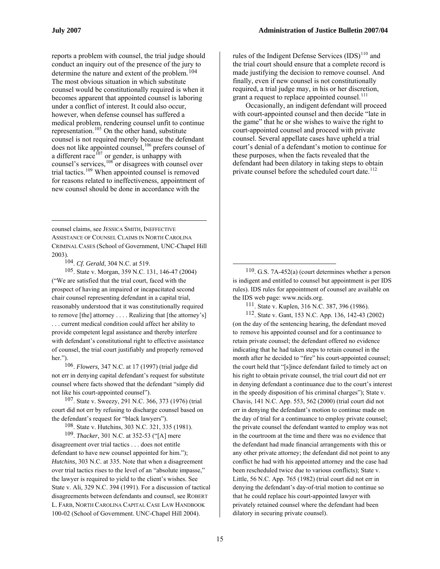1

reports a problem with counsel, the trial judge should conduct an inquiry out of the presence of the jury to determine the nature and extent of the problem.[104](#page-14-0) The most obvious situation in which substitute counsel would be constitutionally required is when it becomes apparent that appointed counsel is laboring under a conflict of interest. It could also occur, however, when defense counsel has suffered a medical problem, rendering counsel unfit to continue representation.<sup>[105](#page-14-1)</sup> On the other hand, substitute counsel is not required merely because the defendant does not like appointed counsel,<sup>[106](#page-14-2)</sup> prefers counsel of a different race  $^{107}$  $^{107}$  $^{107}$  or gender, is unhappy with counsel's services,  $108$  or disagrees with counsel over trial tactics.[109](#page-14-5) When appointed counsel is removed for reasons related to ineffectiveness, appointment of new counsel should be done in accordance with the

counsel claims, see JESSICA SMITH, INEFFECTIVE ASSISTANCE OF COUNSEL CLAIMS IN NORTH CAROLINA CRIMINAL CASES (School of Government, UNC-Chapel Hill 2003).

104. *Cf. Gerald*, 304 N.C. at 519.

<span id="page-14-7"></span><span id="page-14-6"></span><span id="page-14-1"></span><span id="page-14-0"></span>105. State v. Morgan, 359 N.C. 131, 146-47 (2004) ("We are satisfied that the trial court, faced with the prospect of having an impaired or incapacitated second chair counsel representing defendant in a capital trial, reasonably understood that it was constitutionally required to remove [the] attorney . . . . Realizing that [the attorney's] . . . current medical condition could affect her ability to provide competent legal assistance and thereby interfere with defendant's constitutional right to effective assistance of counsel, the trial court justifiably and properly removed her.").

<span id="page-14-2"></span>106. *Flowers,* 347 N.C. at 17 (1997) (trial judge did not err in denying capital defendant's request for substitute counsel where facts showed that the defendant "simply did not like his court-appointed counsel").

<span id="page-14-3"></span>107. State v. Sweezy, 291 N.C. 366, 373 (1976) (trial court did not err by refusing to discharge counsel based on the defendant's request for "black lawyers").

108. State v. Hutchins, 303 N.C. 321, 335 (1981).

<span id="page-14-5"></span><span id="page-14-4"></span>109. *Thacker,* 301 N.C. at 352-53 ("[A] mere disagreement over trial tactics . . . does not entitle defendant to have new counsel appointed for him."); *Hutchins,* 303 N.C. at 335. Note that when a disagreement over trial tactics rises to the level of an "absolute impasse," the lawyer is required to yield to the client's wishes. See State v. Ali, 329 N.C. 394 (1991). For a discussion of tactical disagreements between defendants and counsel, see ROBERT L. FARB, NORTH CAROLINA CAPITAL CASE LAW HANDBOOK 100-02 (School of Government. UNC-Chapel Hill 2004).

rules of the Indigent Defense Services  $(IDS)$ <sup>[110](#page-14-1)</sup> and the trial court should ensure that a complete record is made justifying the decision to remove counsel. And finally, even if new counsel is not constitutionally required, a trial judge may, in his or her discretion, grant a request to replace appointed counsel. $^{111}$  $^{111}$  $^{111}$ 

Occasionally, an indigent defendant will proceed with court-appointed counsel and then decide "late in the game" that he or she wishes to waive the right to court-appointed counsel and proceed with private counsel. Several appellate cases have upheld a trial court's denial of a defendant's motion to continue for these purposes, when the facts revealed that the defendant had been dilatory in taking steps to obtain private counsel before the scheduled court date.<sup>[112](#page-14-7)</sup>

 $110$ . G.S. 7A-452(a) (court determines whether a person is indigent and entitled to counsel but appointment is per IDS rules). IDS rules for appointment of counsel are available on the IDS web page: www.ncids.org.

111. State v. Kuplen, 316 N.C. 387, 396 (1986).

112. State v. Gant, 153 N.C. App. 136, 142-43 (2002) (on the day of the sentencing hearing, the defendant moved to remove his appointed counsel and for a continuance to retain private counsel; the defendant offered no evidence indicating that he had taken steps to retain counsel in the month after he decided to "fire" his court-appointed counsel; the court held that "[s]ince defendant failed to timely act on his right to obtain private counsel, the trial court did not err in denying defendant a continuance due to the court's interest in the speedy disposition of his criminal charges"); State v. Chavis, 141 N.C. App. 553, 562 (2000) (trial court did not err in denying the defendant's motion to continue made on the day of trial for a continuance to employ private counsel; the private counsel the defendant wanted to employ was not in the courtroom at the time and there was no evidence that the defendant had made financial arrangements with this or any other private attorney; the defendant did not point to any conflict he had with his appointed attorney and the case had been rescheduled twice due to various conflicts); State v. Little, 56 N.C. App. 765 (1982) (trial court did not err in denying the defendant's day-of-trial motion to continue so that he could replace his court-appointed lawyer with privately retained counsel where the defendant had been dilatory in securing private counsel).

 $\overline{a}$